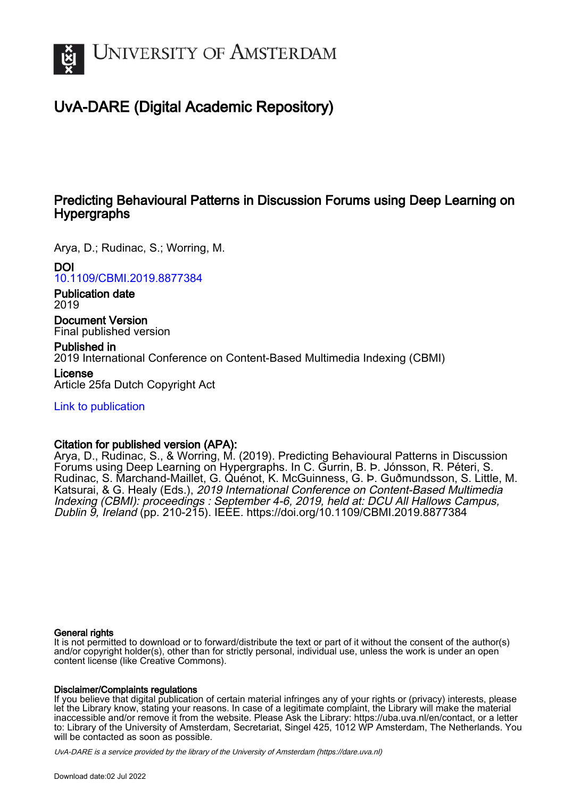

## UvA-DARE (Digital Academic Repository)

## Predicting Behavioural Patterns in Discussion Forums using Deep Learning on Hypergraphs

Arya, D.; Rudinac, S.; Worring, M.

## DOI

[10.1109/CBMI.2019.8877384](https://doi.org/10.1109/CBMI.2019.8877384)

Publication date 2019

Document Version Final published version

## Published in

2019 International Conference on Content-Based Multimedia Indexing (CBMI)

License Article 25fa Dutch Copyright Act

[Link to publication](https://dare.uva.nl/personal/pure/en/publications/predicting-behavioural-patterns-in-discussion-forums-using-deep-learning-on-hypergraphs(b181bc7b-ceed-43c0-bc66-0b3b169a4e31).html)

## Citation for published version (APA):

Arya, D., Rudinac, S., & Worring, M. (2019). Predicting Behavioural Patterns in Discussion Forums using Deep Learning on Hypergraphs. In C. Gurrin, B. Þ. Jónsson, R. Péteri, S. Rudinac, S. Marchand-Maillet, G. Quénot, K. McGuinness, G. Þ. Guðmundsson, S. Little, M. Katsurai, & G. Healy (Eds.), 2019 International Conference on Content-Based Multimedia Indexing (CBMI): proceedings : September 4-6, 2019, held at: DCU All Hallows Campus, Dublin 9, Ireland (pp. 210-215). IEEE.<https://doi.org/10.1109/CBMI.2019.8877384>

## General rights

It is not permitted to download or to forward/distribute the text or part of it without the consent of the author(s) and/or copyright holder(s), other than for strictly personal, individual use, unless the work is under an open content license (like Creative Commons).

## Disclaimer/Complaints regulations

If you believe that digital publication of certain material infringes any of your rights or (privacy) interests, please let the Library know, stating your reasons. In case of a legitimate complaint, the Library will make the material inaccessible and/or remove it from the website. Please Ask the Library: https://uba.uva.nl/en/contact, or a letter to: Library of the University of Amsterdam, Secretariat, Singel 425, 1012 WP Amsterdam, The Netherlands. You will be contacted as soon as possible.

UvA-DARE is a service provided by the library of the University of Amsterdam (http*s*://dare.uva.nl)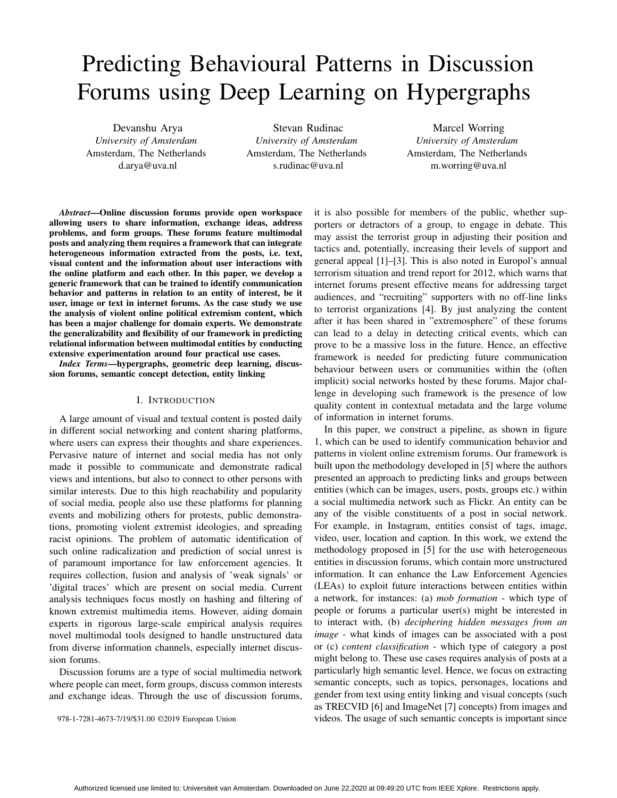# Predicting Behavioural Patterns in Discussion Forums using Deep Learning on Hypergraphs

Devanshu Arya *University of Amsterdam* Amsterdam, The Netherlands d.arya@uva.nl

Stevan Rudinac *University of Amsterdam* Amsterdam, The Netherlands s.rudinac@uva.nl

Marcel Worring *University of Amsterdam* Amsterdam, The Netherlands m.worring@uva.nl

*Abstract*—Online discussion forums provide open workspace allowing users to share information, exchange ideas, address problems, and form groups. These forums feature multimodal posts and analyzing them requires a framework that can integrate heterogeneous information extracted from the posts, i.e. text, visual content and the information about user interactions with the online platform and each other. In this paper, we develop a generic framework that can be trained to identify communication behavior and patterns in relation to an entity of interest, be it user, image or text in internet forums. As the case study we use the analysis of violent online political extremism content, which has been a major challenge for domain experts. We demonstrate the generalizability and flexibility of our framework in predicting relational information between multimodal entities by conducting extensive experimentation around four practical use cases.

*Index Terms*—hypergraphs, geometric deep learning, discussion forums, semantic concept detection, entity linking

#### I. INTRODUCTION

A large amount of visual and textual content is posted daily in different social networking and content sharing platforms, where users can express their thoughts and share experiences. Pervasive nature of internet and social media has not only made it possible to communicate and demonstrate radical views and intentions, but also to connect to other persons with similar interests. Due to this high reachability and popularity of social media, people also use these platforms for planning events and mobilizing others for protests, public demonstrations, promoting violent extremist ideologies, and spreading racist opinions. The problem of automatic identification of such online radicalization and prediction of social unrest is of paramount importance for law enforcement agencies. It requires collection, fusion and analysis of 'weak signals' or 'digital traces' which are present on social media. Current analysis techniques focus mostly on hashing and filtering of known extremist multimedia items. However, aiding domain experts in rigorous large-scale empirical analysis requires novel multimodal tools designed to handle unstructured data from diverse information channels, especially internet discussion forums.

Discussion forums are a type of social multimedia network where people can meet, form groups, discuss common interests and exchange ideas. Through the use of discussion forums,

978-1-7281-4673-7/19/\$31.00 ©2019 European Union

it is also possible for members of the public, whether supporters or detractors of a group, to engage in debate. This may assist the terrorist group in adjusting their position and tactics and, potentially, increasing their levels of support and general appeal [1]–[3]. This is also noted in Europol's annual terrorism situation and trend report for 2012, which warns that internet forums present effective means for addressing target audiences, and "recruiting" supporters with no off-line links to terrorist organizations [4]. By just analyzing the content after it has been shared in "extremosphere" of these forums can lead to a delay in detecting critical events, which can prove to be a massive loss in the future. Hence, an effective framework is needed for predicting future communication behaviour between users or communities within the (often implicit) social networks hosted by these forums. Major challenge in developing such framework is the presence of low quality content in contextual metadata and the large volume of information in internet forums.

In this paper, we construct a pipeline, as shown in figure 1, which can be used to identify communication behavior and patterns in violent online extremism forums. Our framework is built upon the methodology developed in [5] where the authors presented an approach to predicting links and groups between entities (which can be images, users, posts, groups etc.) within a social multimedia network such as Flickr. An entity can be any of the visible constituents of a post in social network. For example, in Instagram, entities consist of tags, image, video, user, location and caption. In this work, we extend the methodology proposed in [5] for the use with heterogeneous entities in discussion forums, which contain more unstructured information. It can enhance the Law Enforcement Agencies (LEAs) to exploit future interactions between entities within a network, for instances: (a) *mob formation* - which type of people or forums a particular user(s) might be interested in to interact with, (b) *deciphering hidden messages from an image* - what kinds of images can be associated with a post or (c) *content classification* - which type of category a post might belong to. These use cases requires analysis of posts at a particularly high semantic level. Hence, we focus on extracting semantic concepts, such as topics, personages, locations and gender from text using entity linking and visual concepts (such as TRECVID [6] and ImageNet [7] concepts) from images and videos. The usage of such semantic concepts is important since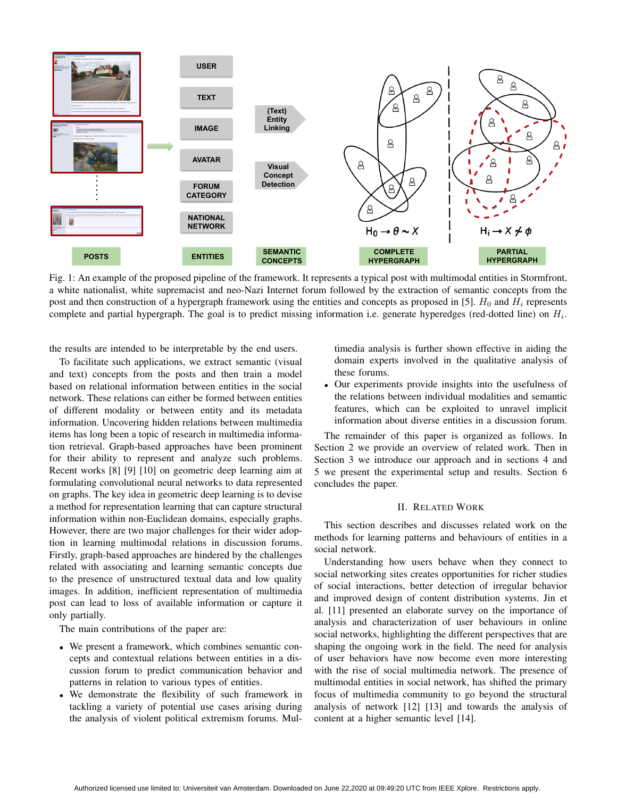

Fig. 1: An example of the proposed pipeline of the framework. It represents a typical post with multimodal entities in Stormfront, a white nationalist, white supremacist and neo-Nazi Internet forum followed by the extraction of semantic concepts from the post and then construction of a hypergraph framework using the entities and concepts as proposed in [5].  $H_0$  and  $H_i$  represents complete and partial hypergraph. The goal is to predict missing information i.e. generate hyperedges (red-dotted line) on  $H_i$ .

the results are intended to be interpretable by the end users.

To facilitate such applications, we extract semantic (visual and text) concepts from the posts and then train a model based on relational information between entities in the social network. These relations can either be formed between entities of different modality or between entity and its metadata information. Uncovering hidden relations between multimedia items has long been a topic of research in multimedia information retrieval. Graph-based approaches have been prominent for their ability to represent and analyze such problems. Recent works [8] [9] [10] on geometric deep learning aim at formulating convolutional neural networks to data represented on graphs. The key idea in geometric deep learning is to devise a method for representation learning that can capture structural information within non-Euclidean domains, especially graphs. However, there are two major challenges for their wider adoption in learning multimodal relations in discussion forums. Firstly, graph-based approaches are hindered by the challenges related with associating and learning semantic concepts due to the presence of unstructured textual data and low quality images. In addition, inefficient representation of multimedia post can lead to loss of available information or capture it only partially.

The main contributions of the paper are:

- We present a framework, which combines semantic concepts and contextual relations between entities in a discussion forum to predict communication behavior and patterns in relation to various types of entities.
- We demonstrate the flexibility of such framework in tackling a variety of potential use cases arising during the analysis of violent political extremism forums. Mul-

timedia analysis is further shown effective in aiding the domain experts involved in the qualitative analysis of these forums.

• Our experiments provide insights into the usefulness of the relations between individual modalities and semantic features, which can be exploited to unravel implicit information about diverse entities in a discussion forum.

The remainder of this paper is organized as follows. In Section 2 we provide an overview of related work. Then in Section 3 we introduce our approach and in sections 4 and 5 we present the experimental setup and results. Section 6 concludes the paper.

#### II. RELATED WORK

This section describes and discusses related work on the methods for learning patterns and behaviours of entities in a social network.

Understanding how users behave when they connect to social networking sites creates opportunities for richer studies of social interactions, better detection of irregular behavior and improved design of content distribution systems. Jin et al. [11] presented an elaborate survey on the importance of analysis and characterization of user behaviours in online social networks, highlighting the different perspectives that are shaping the ongoing work in the field. The need for analysis of user behaviors have now become even more interesting with the rise of social multimedia network. The presence of multimodal entities in social network, has shifted the primary focus of multimedia community to go beyond the structural analysis of network [12] [13] and towards the analysis of content at a higher semantic level [14].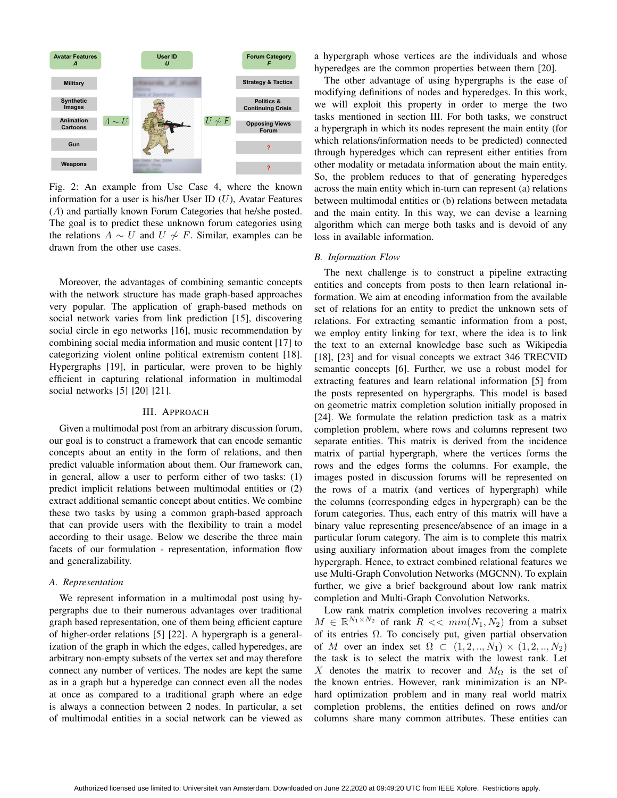

Fig. 2: An example from Use Case 4, where the known information for a user is his/her User ID  $(U)$ , Avatar Features (A) and partially known Forum Categories that he/she posted. The goal is to predict these unknown forum categories using the relations  $A \sim U$  and  $U \not\sim F$ . Similar, examples can be drawn from the other use cases.

Moreover, the advantages of combining semantic concepts with the network structure has made graph-based approaches very popular. The application of graph-based methods on social network varies from link prediction [15], discovering social circle in ego networks [16], music recommendation by combining social media information and music content [17] to categorizing violent online political extremism content [18]. Hypergraphs [19], in particular, were proven to be highly efficient in capturing relational information in multimodal social networks [5] [20] [21].

#### III. APPROACH

Given a multimodal post from an arbitrary discussion forum, our goal is to construct a framework that can encode semantic concepts about an entity in the form of relations, and then predict valuable information about them. Our framework can, in general, allow a user to perform either of two tasks: (1) predict implicit relations between multimodal entities or (2) extract additional semantic concept about entities. We combine these two tasks by using a common graph-based approach that can provide users with the flexibility to train a model according to their usage. Below we describe the three main facets of our formulation - representation, information flow and generalizability.

#### *A. Representation*

We represent information in a multimodal post using hypergraphs due to their numerous advantages over traditional graph based representation, one of them being efficient capture of higher-order relations [5] [22]. A hypergraph is a generalization of the graph in which the edges, called hyperedges, are arbitrary non-empty subsets of the vertex set and may therefore connect any number of vertices. The nodes are kept the same as in a graph but a hyperedge can connect even all the nodes at once as compared to a traditional graph where an edge is always a connection between 2 nodes. In particular, a set of multimodal entities in a social network can be viewed as

a hypergraph whose vertices are the individuals and whose hyperedges are the common properties between them [20].

The other advantage of using hypergraphs is the ease of modifying definitions of nodes and hyperedges. In this work, we will exploit this property in order to merge the two tasks mentioned in section III. For both tasks, we construct a hypergraph in which its nodes represent the main entity (for which relations/information needs to be predicted) connected through hyperedges which can represent either entities from other modality or metadata information about the main entity. So, the problem reduces to that of generating hyperedges across the main entity which in-turn can represent (a) relations between multimodal entities or (b) relations between metadata and the main entity. In this way, we can devise a learning algorithm which can merge both tasks and is devoid of any loss in available information.

#### *B. Information Flow*

The next challenge is to construct a pipeline extracting entities and concepts from posts to then learn relational information. We aim at encoding information from the available set of relations for an entity to predict the unknown sets of relations. For extracting semantic information from a post, we employ entity linking for text, where the idea is to link the text to an external knowledge base such as Wikipedia [18], [23] and for visual concepts we extract 346 TRECVID semantic concepts [6]. Further, we use a robust model for extracting features and learn relational information [5] from the posts represented on hypergraphs. This model is based on geometric matrix completion solution initially proposed in [24]. We formulate the relation prediction task as a matrix completion problem, where rows and columns represent two separate entities. This matrix is derived from the incidence matrix of partial hypergraph, where the vertices forms the rows and the edges forms the columns. For example, the images posted in discussion forums will be represented on the rows of a matrix (and vertices of hypergraph) while the columns (corresponding edges in hypergraph) can be the forum categories. Thus, each entry of this matrix will have a binary value representing presence/absence of an image in a particular forum category. The aim is to complete this matrix using auxiliary information about images from the complete hypergraph. Hence, to extract combined relational features we use Multi-Graph Convolution Networks (MGCNN). To explain further, we give a brief background about low rank matrix completion and Multi-Graph Convolution Networks.

Low rank matrix completion involves recovering a matrix  $M \in \mathbb{R}^{N_1 \times N_2}$  of rank  $R \ll \min(N_1, N_2)$  from a subset of its entries  $\Omega$ . To concisely put, given partial observation of M over an index set  $\Omega \subset (1, 2, \ldots, N_1) \times (1, 2, \ldots, N_2)$ the task is to select the matrix with the lowest rank. Let X denotes the matrix to recover and  $M_{\Omega}$  is the set of the known entries. However, rank minimization is an NPhard optimization problem and in many real world matrix completion problems, the entities defined on rows and/or columns share many common attributes. These entities can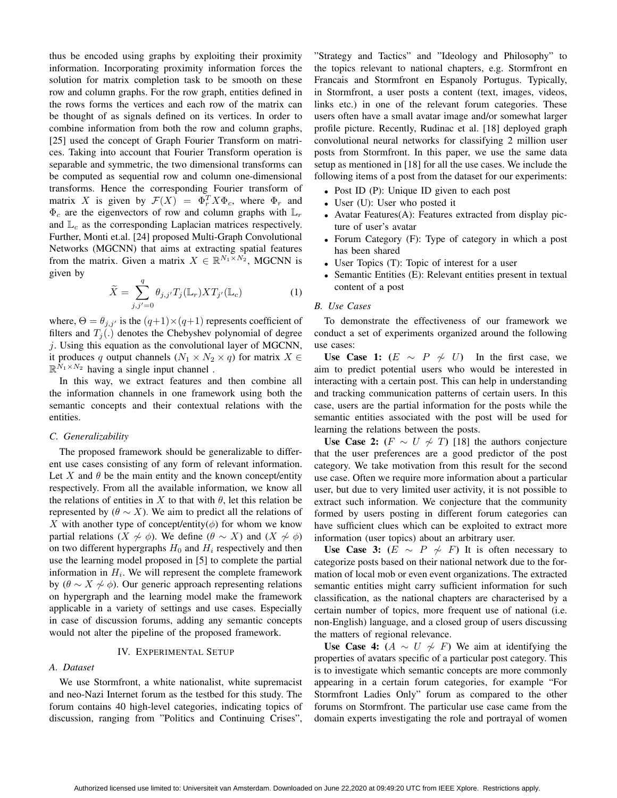thus be encoded using graphs by exploiting their proximity information. Incorporating proximity information forces the solution for matrix completion task to be smooth on these row and column graphs. For the row graph, entities defined in the rows forms the vertices and each row of the matrix can be thought of as signals defined on its vertices. In order to combine information from both the row and column graphs, [25] used the concept of Graph Fourier Transform on matrices. Taking into account that Fourier Transform operation is separable and symmetric, the two dimensional transforms can be computed as sequential row and column one-dimensional transforms. Hence the corresponding Fourier transform of matrix X is given by  $\mathcal{F}(X) = \Phi_r^T X \Phi_c$ , where  $\Phi_r$  and  $\Phi_c$  are the eigenvectors of row and column graphs with  $\mathbb{L}_r$ and  $\mathbb{L}_c$  as the corresponding Laplacian matrices respectively. Further, Monti et.al. [24] proposed Multi-Graph Convolutional Networks (MGCNN) that aims at extracting spatial features from the matrix. Given a matrix  $X \in \mathbb{R}^{N_1 \times N_2}$ , MGCNN is given by

$$
\widetilde{X} = \sum_{j,j'=0}^{q} \theta_{j,j'} T_j(\mathbb{L}_r) X T_{j'}(\mathbb{L}_c) \tag{1}
$$

where,  $\Theta = \theta_{j,j'}$  is the  $(q+1) \times (q+1)$  represents coefficient of filters and  $T_i(.)$  denotes the Chebyshev polynomial of degree  $i$ . Using this equation as the convolutional layer of MGCNN, it produces q output channels ( $N_1 \times N_2 \times q$ ) for matrix  $X \in$  $\mathbb{R}^{\bar{N}_1 \times N_2}$  having a single input channel.

In this way, we extract features and then combine all the information channels in one framework using both the semantic concepts and their contextual relations with the entities.

#### *C. Generalizability*

The proposed framework should be generalizable to different use cases consisting of any form of relevant information. Let X and  $\theta$  be the main entity and the known concept/entity respectively. From all the available information, we know all the relations of entities in X to that with  $\theta$ , let this relation be represented by  $(\theta \sim X)$ . We aim to predict all the relations of X with another type of concept/entity( $\phi$ ) for whom we know partial relations ( $X \nless \phi$ ). We define ( $\theta \sim X$ ) and ( $X \nless \phi$ ) on two different hypergraphs  $H_0$  and  $H_i$  respectively and then use the learning model proposed in [5] to complete the partial information in  $H_i$ . We will represent the complete framework by ( $\theta \sim X \nsim \phi$ ). Our generic approach representing relations on hypergraph and the learning model make the framework applicable in a variety of settings and use cases. Especially in case of discussion forums, adding any semantic concepts would not alter the pipeline of the proposed framework.

#### IV. EXPERIMENTAL SETUP

#### *A. Dataset*

We use Stormfront, a white nationalist, white supremacist and neo-Nazi Internet forum as the testbed for this study. The forum contains 40 high-level categories, indicating topics of discussion, ranging from "Politics and Continuing Crises",

"Strategy and Tactics" and "Ideology and Philosophy" to the topics relevant to national chapters, e.g. Stormfront en Francais and Stormfront en Espanoly Portugus. Typically, in Stormfront, a user posts a content (text, images, videos, links etc.) in one of the relevant forum categories. These users often have a small avatar image and/or somewhat larger profile picture. Recently, Rudinac et al. [18] deployed graph convolutional neural networks for classifying 2 million user posts from Stormfront. In this paper, we use the same data setup as mentioned in [18] for all the use cases. We include the following items of a post from the dataset for our experiments:

- Post ID (P): Unique ID given to each post
- User (U): User who posted it
- Avatar Features(A): Features extracted from display picture of user's avatar
- Forum Category (F): Type of category in which a post has been shared
- User Topics (T): Topic of interest for a user
- Semantic Entities (E): Relevant entities present in textual content of a post

#### *B. Use Cases*

To demonstrate the effectiveness of our framework we conduct a set of experiments organized around the following use cases:

Use Case 1:  $(E \sim P \nsim U)$  In the first case, we aim to predict potential users who would be interested in interacting with a certain post. This can help in understanding and tracking communication patterns of certain users. In this case, users are the partial information for the posts while the semantic entities associated with the post will be used for learning the relations between the posts.

Use Case 2:  $(F \sim U \nsim T)$  [18] the authors conjecture that the user preferences are a good predictor of the post category. We take motivation from this result for the second use case. Often we require more information about a particular user, but due to very limited user activity, it is not possible to extract such information. We conjecture that the community formed by users posting in different forum categories can have sufficient clues which can be exploited to extract more information (user topics) about an arbitrary user.

Use Case 3:  $(E \sim P \nsim F)$  It is often necessary to categorize posts based on their national network due to the formation of local mob or even event organizations. The extracted semantic entities might carry sufficient information for such classification, as the national chapters are characterised by a certain number of topics, more frequent use of national (i.e. non-English) language, and a closed group of users discussing the matters of regional relevance.

Use Case 4:  $(A \sim U \nsim F)$  We aim at identifying the properties of avatars specific of a particular post category. This is to investigate which semantic concepts are more commonly appearing in a certain forum categories, for example "For Stormfront Ladies Only" forum as compared to the other forums on Stormfront. The particular use case came from the domain experts investigating the role and portrayal of women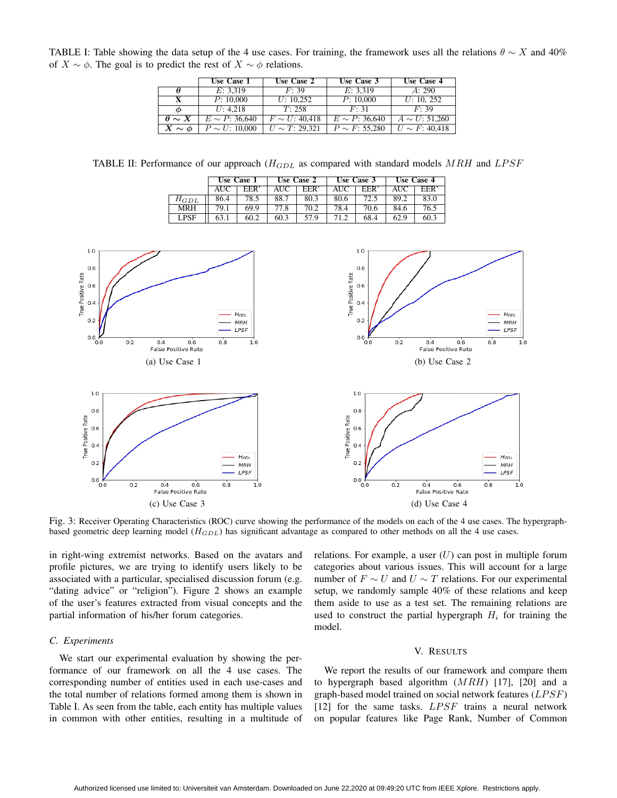TABLE I: Table showing the data setup of the 4 use cases. For training, the framework uses all the relations  $\theta \sim X$  and 40% of  $X \sim \phi$ . The goal is to predict the rest of  $X \sim \phi$  relations.

|                 | Use Case 1          | Use Case 2          | Use Case 3          | Use Case 4          |
|-----------------|---------------------|---------------------|---------------------|---------------------|
| θ               | E: 3.319            | F: 39               | E: 3.319            | A: 290              |
| X               | P: 10,000           | U: 10.252           | P: 10,000           | U: 10, 252          |
| Φ               | U: 4.218            | T: 258              | F: 31               | F: 39               |
| $\theta \sim X$ | $E \sim P$ : 36,640 | $F \sim U$ : 40.418 | $E \sim P$ : 36,640 | $A \sim U: 51,260$  |
| $X \sim \phi$   | $P \sim U: 10,000$  | $U \sim T: 29.321$  | $P \sim F$ : 55.280 | $U \sim F$ : 40.418 |

TABLE II: Performance of our approach  $(H_{GDL}$  as compared with standard models MRH and LPSF

|             | Use Case 1 |            | Use Case 2 |                  | Use Case 3 |            | Use Case 4 |            |
|-------------|------------|------------|------------|------------------|------------|------------|------------|------------|
|             | <b>AUC</b> | <b>EER</b> | AUC-       | EER <sup>'</sup> | AUC        | <b>EER</b> | AUC        | <b>EER</b> |
| $H_{GDL}$   | 86.4       | 78.5       | 88.7       | 80.3             | 80.6       | 72.5       | 89.2       | 83.0       |
| MRH         | 79.1       | 69.9       | 77.8       | 70.2             | 78.4       | 70.6       | 84.6       | 76.5       |
| <b>LPSF</b> | 63.1       | 60.2       | 60.3       | 57.9             | 71.2       | 68.4       | 62.9       | 60.3       |



Fig. 3: Receiver Operating Characteristics (ROC) curve showing the performance of the models on each of the 4 use cases. The hypergraphbased geometric deep learning model ( $H_{GDL}$ ) has significant advantage as compared to other methods on all the 4 use cases.

in right-wing extremist networks. Based on the avatars and profile pictures, we are trying to identify users likely to be associated with a particular, specialised discussion forum (e.g. "dating advice" or "religion"). Figure 2 shows an example of the user's features extracted from visual concepts and the partial information of his/her forum categories.

#### *C. Experiments*

We start our experimental evaluation by showing the performance of our framework on all the 4 use cases. The corresponding number of entities used in each use-cases and the total number of relations formed among them is shown in Table I. As seen from the table, each entity has multiple values in common with other entities, resulting in a multitude of relations. For example, a user  $(U)$  can post in multiple forum categories about various issues. This will account for a large number of  $F \sim U$  and  $U \sim T$  relations. For our experimental setup, we randomly sample 40% of these relations and keep them aside to use as a test set. The remaining relations are used to construct the partial hypergraph  $H_i$  for training the model.

#### V. RESULTS

We report the results of our framework and compare them to hypergraph based algorithm  $(MRH)$  [17], [20] and a graph-based model trained on social network features  $(LPSF)$ [12] for the same tasks.  $LPSF$  trains a neural network on popular features like Page Rank, Number of Common